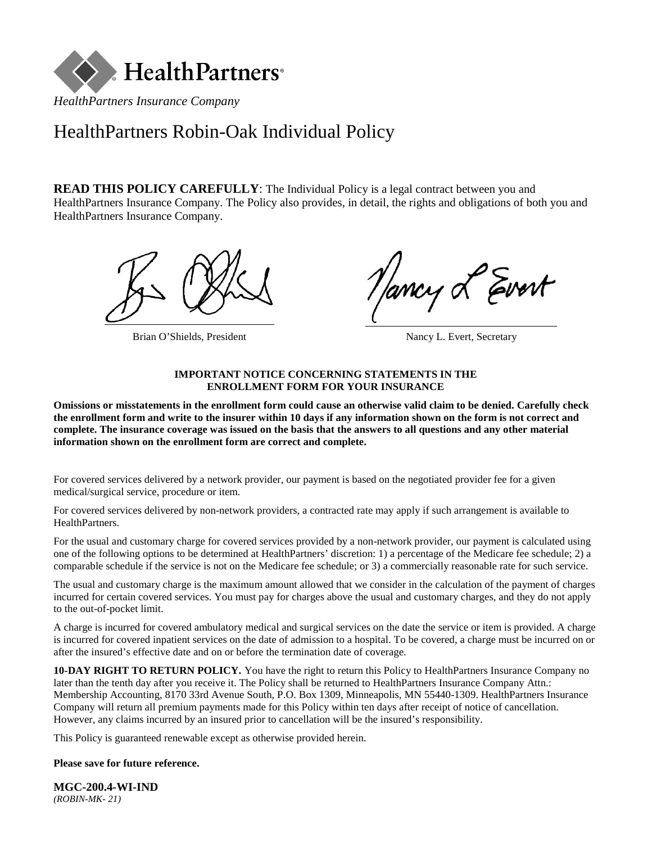

# HealthPartners Robin-Oak Individual Policy

**READ THIS POLICY CAREFULLY:** The Individual Policy is a legal contract between you and HealthPartners Insurance Company. The Policy also provides, in detail, the rights and obligations of both you and HealthPartners Insurance Company.



Brian O'Shields, President Nancy L. Evert, Secretary

ancy Levert

### **IMPORTANT NOTICE CONCERNING STATEMENTS IN THE ENROLLMENT FORM FOR YOUR INSURANCE**

**Omissions or misstatements in the enrollment form could cause an otherwise valid claim to be denied. Carefully check the enrollment form and write to the insurer within 10 days if any information shown on the form is not correct and complete. The insurance coverage was issued on the basis that the answers to all questions and any other material information shown on the enrollment form are correct and complete.**

For covered services delivered by a network provider, our payment is based on the negotiated provider fee for a given medical/surgical service, procedure or item.

For covered services delivered by non-network providers, a contracted rate may apply if such arrangement is available to HealthPartners.

For the usual and customary charge for covered services provided by a non-network provider, our payment is calculated using one of the following options to be determined at HealthPartners' discretion: 1) a percentage of the Medicare fee schedule; 2) a comparable schedule if the service is not on the Medicare fee schedule; or 3) a commercially reasonable rate for such service.

The usual and customary charge is the maximum amount allowed that we consider in the calculation of the payment of charges incurred for certain covered services. You must pay for charges above the usual and customary charges, and they do not apply to the out-of-pocket limit.

A charge is incurred for covered ambulatory medical and surgical services on the date the service or item is provided. A charge is incurred for covered inpatient services on the date of admission to a hospital. To be covered, a charge must be incurred on or after the insured's effective date and on or before the termination date of coverage.

**10-DAY RIGHT TO RETURN POLICY.** You have the right to return this Policy to HealthPartners Insurance Company no later than the tenth day after you receive it. The Policy shall be returned to HealthPartners Insurance Company Attn.: Membership Accounting, 8170 33rd Avenue South, P.O. Box 1309, Minneapolis, MN 55440-1309. HealthPartners Insurance Company will return all premium payments made for this Policy within ten days after receipt of notice of cancellation. However, any claims incurred by an insured prior to cancellation will be the insured's responsibility.

This Policy is guaranteed renewable except as otherwise provided herein.

### **Please save for future reference.**

**MGC-200.4-WI-IND** *(ROBIN-MK- 21)*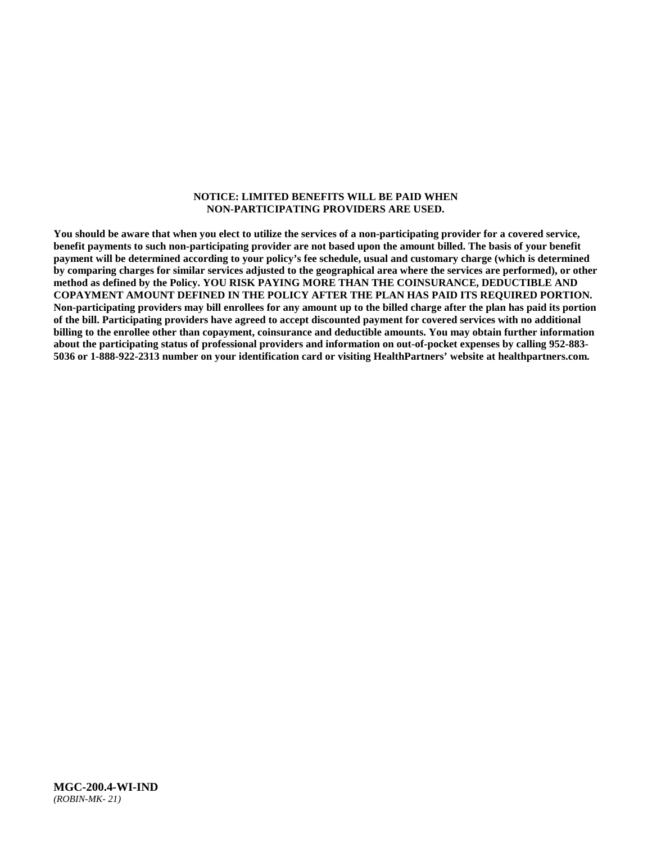#### **NOTICE: LIMITED BENEFITS WILL BE PAID WHEN NON-PARTICIPATING PROVIDERS ARE USED.**

**You should be aware that when you elect to utilize the services of a non-participating provider for a covered service, benefit payments to such non-participating provider are not based upon the amount billed. The basis of your benefit payment will be determined according to your policy's fee schedule, usual and customary charge (which is determined by comparing charges for similar services adjusted to the geographical area where the services are performed), or other method as defined by the Policy. YOU RISK PAYING MORE THAN THE COINSURANCE, DEDUCTIBLE AND COPAYMENT AMOUNT DEFINED IN THE POLICY AFTER THE PLAN HAS PAID ITS REQUIRED PORTION. Non-participating providers may bill enrollees for any amount up to the billed charge after the plan has paid its portion of the bill. Participating providers have agreed to accept discounted payment for covered services with no additional billing to the enrollee other than copayment, coinsurance and deductible amounts. You may obtain further information about the participating status of professional providers and information on out-of-pocket expenses by calling 952-883- 5036 or 1-888-922-2313 number on your identification card or visiting HealthPartners' website at [healthpartners.com.](http://www.healthpartners.com/)**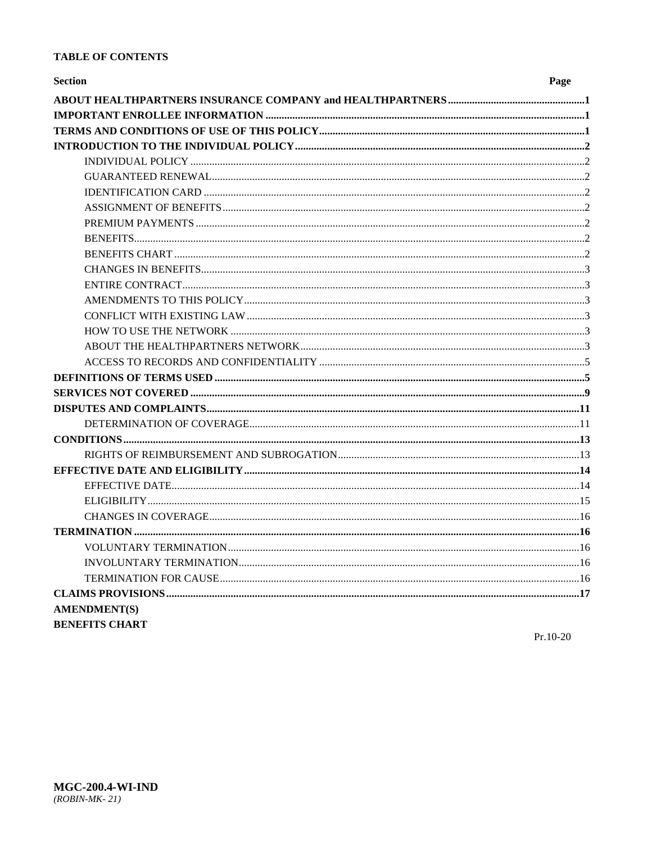### **TABLE OF CONTENTS**

| <b>Section</b>        | Page |
|-----------------------|------|
|                       |      |
|                       |      |
|                       |      |
|                       |      |
|                       |      |
|                       |      |
|                       |      |
|                       |      |
|                       |      |
|                       |      |
|                       |      |
|                       |      |
|                       |      |
|                       |      |
|                       |      |
|                       |      |
|                       |      |
|                       |      |
|                       |      |
|                       |      |
|                       |      |
|                       |      |
|                       |      |
|                       |      |
|                       |      |
|                       |      |
|                       |      |
|                       |      |
|                       |      |
|                       |      |
|                       |      |
|                       |      |
|                       |      |
| <b>AMENDMENT(S)</b>   |      |
| <b>BENEFITS CHART</b> |      |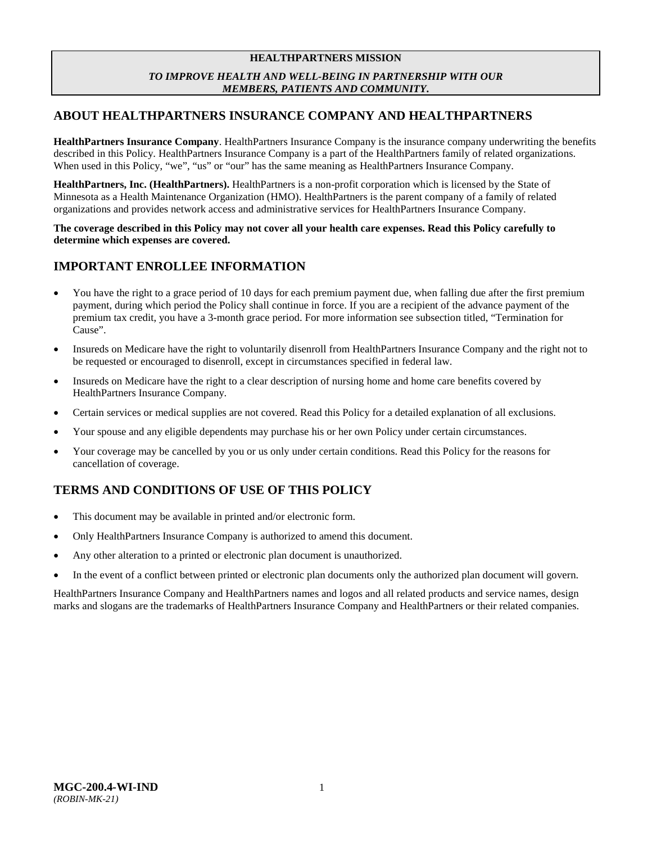### **HEALTHPARTNERS MISSION** *TO IMPROVE HEALTH AND WELL-BEING IN PARTNERSHIP WITH OUR MEMBERS, PATIENTS AND COMMUNITY***.**

# <span id="page-3-0"></span>**ABOUT HEALTHPARTNERS INSURANCE COMPANY AND HEALTHPARTNERS**

**HealthPartners Insurance Company**. HealthPartners Insurance Company is the insurance company underwriting the benefits described in this Policy. HealthPartners Insurance Company is a part of the HealthPartners family of related organizations. When used in this Policy, "we", "us" or "our" has the same meaning as HealthPartners Insurance Company.

**HealthPartners, Inc. (HealthPartners).** HealthPartners is a non-profit corporation which is licensed by the State of Minnesota as a Health Maintenance Organization (HMO). HealthPartners is the parent company of a family of related organizations and provides network access and administrative services for HealthPartners Insurance Company.

**The coverage described in this Policy may not cover all your health care expenses. Read this Policy carefully to determine which expenses are covered.**

# <span id="page-3-1"></span>**IMPORTANT ENROLLEE INFORMATION**

- You have the right to a grace period of 10 days for each premium payment due, when falling due after the first premium payment, during which period the Policy shall continue in force. If you are a recipient of the advance payment of the premium tax credit, you have a 3-month grace period. For more information see subsection titled, "Termination for Cause".
- Insureds on Medicare have the right to voluntarily disenroll from HealthPartners Insurance Company and the right not to be requested or encouraged to disenroll, except in circumstances specified in federal law.
- Insureds on Medicare have the right to a clear description of nursing home and home care benefits covered by HealthPartners Insurance Company.
- Certain services or medical supplies are not covered. Read this Policy for a detailed explanation of all exclusions.
- Your spouse and any eligible dependents may purchase his or her own Policy under certain circumstances.
- Your coverage may be cancelled by you or us only under certain conditions. Read this Policy for the reasons for cancellation of coverage.

# <span id="page-3-2"></span>**TERMS AND CONDITIONS OF USE OF THIS POLICY**

- This document may be available in printed and/or electronic form.
- Only HealthPartners Insurance Company is authorized to amend this document.
- Any other alteration to a printed or electronic plan document is unauthorized.
- In the event of a conflict between printed or electronic plan documents only the authorized plan document will govern.

HealthPartners Insurance Company and HealthPartners names and logos and all related products and service names, design marks and slogans are the trademarks of HealthPartners Insurance Company and HealthPartners or their related companies.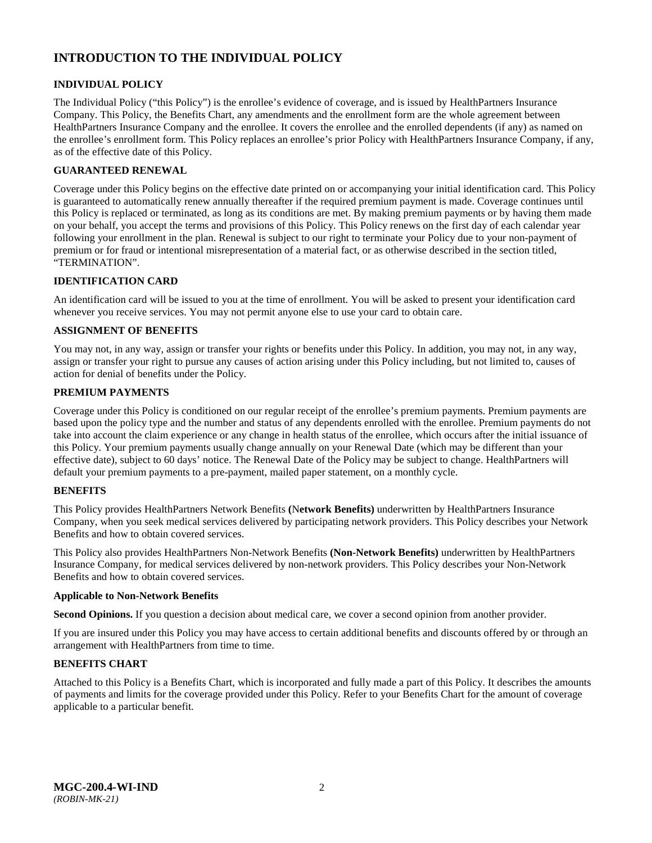# <span id="page-4-0"></span>**INTRODUCTION TO THE INDIVIDUAL POLICY**

### <span id="page-4-1"></span>**INDIVIDUAL POLICY**

The Individual Policy ("this Policy") is the enrollee's evidence of coverage, and is issued by HealthPartners Insurance Company. This Policy, the Benefits Chart, any amendments and the enrollment form are the whole agreement between HealthPartners Insurance Company and the enrollee. It covers the enrollee and the enrolled dependents (if any) as named on the enrollee's enrollment form. This Policy replaces an enrollee's prior Policy with HealthPartners Insurance Company, if any, as of the effective date of this Policy.

### <span id="page-4-2"></span>**GUARANTEED RENEWAL**

Coverage under this Policy begins on the effective date printed on or accompanying your initial identification card. This Policy is guaranteed to automatically renew annually thereafter if the required premium payment is made. Coverage continues until this Policy is replaced or terminated, as long as its conditions are met. By making premium payments or by having them made on your behalf, you accept the terms and provisions of this Policy. This Policy renews on the first day of each calendar year following your enrollment in the plan. Renewal is subject to our right to terminate your Policy due to your non-payment of premium or for fraud or intentional misrepresentation of a material fact, or as otherwise described in the section titled, "TERMINATION".

### <span id="page-4-3"></span>**IDENTIFICATION CARD**

An identification card will be issued to you at the time of enrollment. You will be asked to present your identification card whenever you receive services. You may not permit anyone else to use your card to obtain care.

### <span id="page-4-4"></span>**ASSIGNMENT OF BENEFITS**

You may not, in any way, assign or transfer your rights or benefits under this Policy. In addition, you may not, in any way, assign or transfer your right to pursue any causes of action arising under this Policy including, but not limited to, causes of action for denial of benefits under the Policy.

### <span id="page-4-5"></span>**PREMIUM PAYMENTS**

Coverage under this Policy is conditioned on our regular receipt of the enrollee's premium payments. Premium payments are based upon the policy type and the number and status of any dependents enrolled with the enrollee. Premium payments do not take into account the claim experience or any change in health status of the enrollee, which occurs after the initial issuance of this Policy. Your premium payments usually change annually on your Renewal Date (which may be different than your effective date), subject to 60 days' notice. The Renewal Date of the Policy may be subject to change. HealthPartners will default your premium payments to a pre-payment, mailed paper statement, on a monthly cycle.

### <span id="page-4-6"></span>**BENEFITS**

This Policy provides HealthPartners Network Benefits **(**N**etwork Benefits)** underwritten by HealthPartners Insurance Company, when you seek medical services delivered by participating network providers. This Policy describes your Network Benefits and how to obtain covered services.

This Policy also provides HealthPartners Non-Network Benefits **(Non-Network Benefits)** underwritten by HealthPartners Insurance Company, for medical services delivered by non-network providers. This Policy describes your Non-Network Benefits and how to obtain covered services.

#### **Applicable to Non-Network Benefits**

**Second Opinions.** If you question a decision about medical care, we cover a second opinion from another provider.

If you are insured under this Policy you may have access to certain additional benefits and discounts offered by or through an arrangement with HealthPartners from time to time.

### <span id="page-4-7"></span>**BENEFITS CHART**

Attached to this Policy is a Benefits Chart, which is incorporated and fully made a part of this Policy. It describes the amounts of payments and limits for the coverage provided under this Policy. Refer to your Benefits Chart for the amount of coverage applicable to a particular benefit.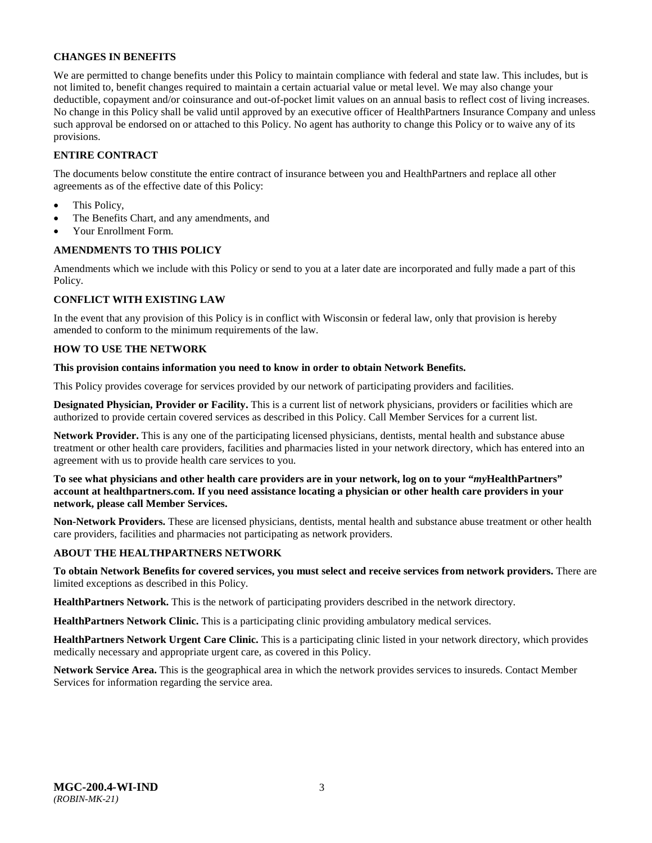### <span id="page-5-0"></span>**CHANGES IN BENEFITS**

We are permitted to change benefits under this Policy to maintain compliance with federal and state law. This includes, but is not limited to, benefit changes required to maintain a certain actuarial value or metal level. We may also change your deductible, copayment and/or coinsurance and out-of-pocket limit values on an annual basis to reflect cost of living increases. No change in this Policy shall be valid until approved by an executive officer of HealthPartners Insurance Company and unless such approval be endorsed on or attached to this Policy. No agent has authority to change this Policy or to waive any of its provisions.

### <span id="page-5-1"></span>**ENTIRE CONTRACT**

The documents below constitute the entire contract of insurance between you and HealthPartners and replace all other agreements as of the effective date of this Policy:

- This Policy,
- The Benefits Chart, and any amendments, and
- Your Enrollment Form.

### <span id="page-5-2"></span>**AMENDMENTS TO THIS POLICY**

Amendments which we include with this Policy or send to you at a later date are incorporated and fully made a part of this Policy.

### <span id="page-5-3"></span>**CONFLICT WITH EXISTING LAW**

In the event that any provision of this Policy is in conflict with Wisconsin or federal law, only that provision is hereby amended to conform to the minimum requirements of the law.

### <span id="page-5-4"></span>**HOW TO USE THE NETWORK**

#### **This provision contains information you need to know in order to obtain Network Benefits.**

This Policy provides coverage for services provided by our network of participating providers and facilities.

**Designated Physician, Provider or Facility.** This is a current list of network physicians, providers or facilities which are authorized to provide certain covered services as described in this Policy. Call Member Services for a current list.

**Network Provider.** This is any one of the participating licensed physicians, dentists, mental health and substance abuse treatment or other health care providers, facilities and pharmacies listed in your network directory, which has entered into an agreement with us to provide health care services to you.

**To see what physicians and other health care providers are in your network, log on to your "***my***HealthPartners" account at [healthpartners.com.](http://www.healthpartners.com/) If you need assistance locating a physician or other health care providers in your network, please call Member Services.** 

**Non-Network Providers.** These are licensed physicians, dentists, mental health and substance abuse treatment or other health care providers, facilities and pharmacies not participating as network providers.

### <span id="page-5-5"></span>**ABOUT THE HEALTHPARTNERS NETWORK**

**To obtain Network Benefits for covered services, you must select and receive services from network providers.** There are limited exceptions as described in this Policy.

**HealthPartners Network.** This is the network of participating providers described in the network directory.

**HealthPartners Network Clinic.** This is a participating clinic providing ambulatory medical services.

**HealthPartners Network Urgent Care Clinic.** This is a participating clinic listed in your network directory, which provides medically necessary and appropriate urgent care, as covered in this Policy.

**Network Service Area.** This is the geographical area in which the network provides services to insureds. Contact Member Services for information regarding the service area.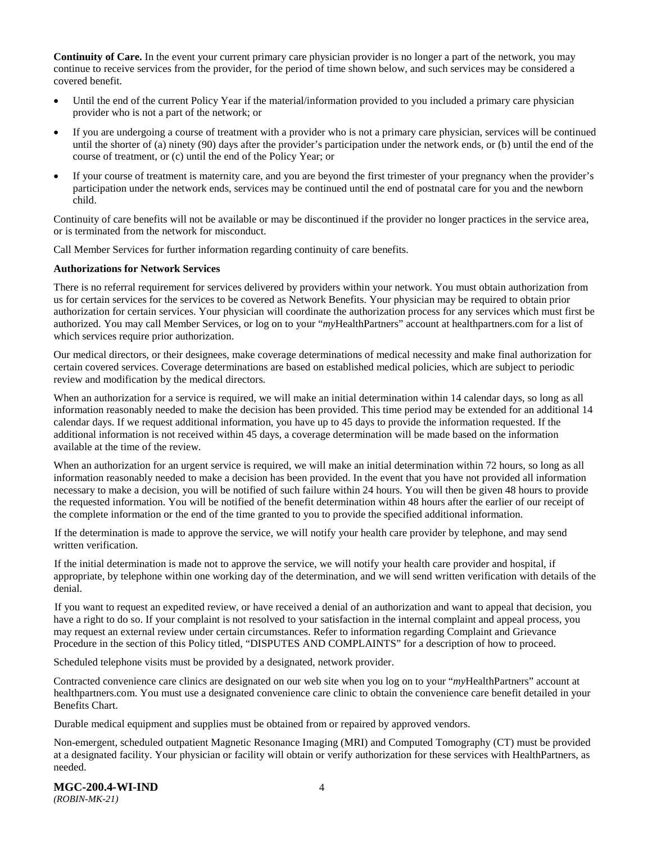**Continuity of Care.** In the event your current primary care physician provider is no longer a part of the network, you may continue to receive services from the provider, for the period of time shown below, and such services may be considered a covered benefit.

- Until the end of the current Policy Year if the material/information provided to you included a primary care physician provider who is not a part of the network; or
- If you are undergoing a course of treatment with a provider who is not a primary care physician, services will be continued until the shorter of (a) ninety (90) days after the provider's participation under the network ends, or (b) until the end of the course of treatment, or (c) until the end of the Policy Year; or
- If your course of treatment is maternity care, and you are beyond the first trimester of your pregnancy when the provider's participation under the network ends, services may be continued until the end of postnatal care for you and the newborn child.

Continuity of care benefits will not be available or may be discontinued if the provider no longer practices in the service area, or is terminated from the network for misconduct.

Call Member Services for further information regarding continuity of care benefits.

#### **Authorizations for Network Services**

There is no referral requirement for services delivered by providers within your network. You must obtain authorization from us for certain services for the services to be covered as Network Benefits. Your physician may be required to obtain prior authorization for certain services. Your physician will coordinate the authorization process for any services which must first be authorized. You may call Member Services, or log on to your "*my*HealthPartners" account at [healthpartners.com](http://www.healthpartners.com/) for a list of which services require prior authorization.

Our medical directors, or their designees, make coverage determinations of medical necessity and make final authorization for certain covered services. Coverage determinations are based on established medical policies, which are subject to periodic review and modification by the medical directors.

When an authorization for a service is required, we will make an initial determination within 14 calendar days, so long as all information reasonably needed to make the decision has been provided. This time period may be extended for an additional 14 calendar days. If we request additional information, you have up to 45 days to provide the information requested. If the additional information is not received within 45 days, a coverage determination will be made based on the information available at the time of the review.

When an authorization for an urgent service is required, we will make an initial determination within 72 hours, so long as all information reasonably needed to make a decision has been provided. In the event that you have not provided all information necessary to make a decision, you will be notified of such failure within 24 hours. You will then be given 48 hours to provide the requested information. You will be notified of the benefit determination within 48 hours after the earlier of our receipt of the complete information or the end of the time granted to you to provide the specified additional information.

If the determination is made to approve the service, we will notify your health care provider by telephone, and may send written verification.

If the initial determination is made not to approve the service, we will notify your health care provider and hospital, if appropriate, by telephone within one working day of the determination, and we will send written verification with details of the denial.

If you want to request an expedited review, or have received a denial of an authorization and want to appeal that decision, you have a right to do so. If your complaint is not resolved to your satisfaction in the internal complaint and appeal process, you may request an external review under certain circumstances. Refer to information regarding Complaint and Grievance Procedure in the section of this Policy titled, "DISPUTES AND COMPLAINTS" for a description of how to proceed.

Scheduled telephone visits must be provided by a designated, network provider.

Contracted convenience care clinics are designated on our web site when you log on to your "*my*HealthPartners" account at [healthpartners.com.](http://www.healthpartners.com/) You must use a designated convenience care clinic to obtain the convenience care benefit detailed in your Benefits Chart.

Durable medical equipment and supplies must be obtained from or repaired by approved vendors.

Non-emergent, scheduled outpatient Magnetic Resonance Imaging (MRI) and Computed Tomography (CT) must be provided at a designated facility. Your physician or facility will obtain or verify authorization for these services with HealthPartners, as needed.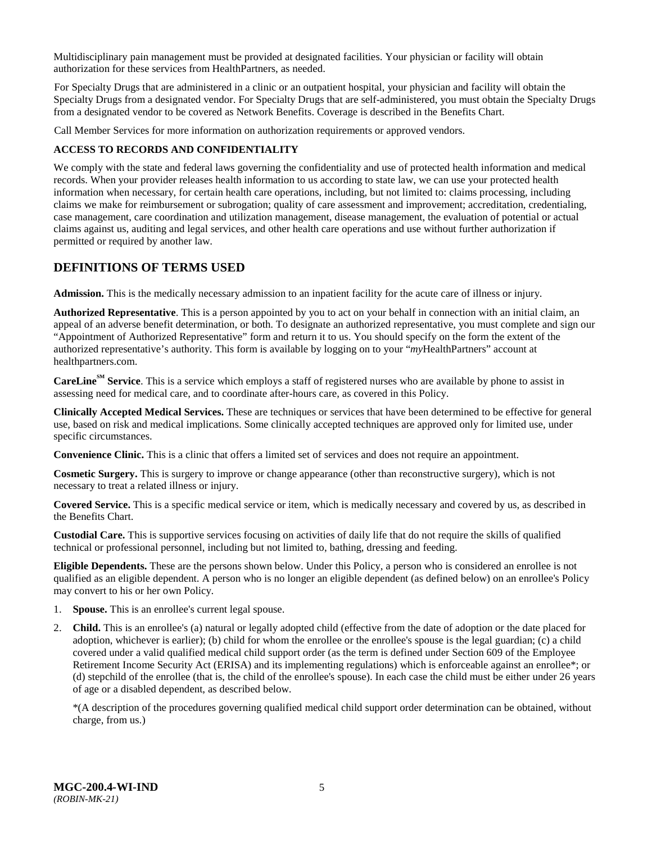Multidisciplinary pain management must be provided at designated facilities. Your physician or facility will obtain authorization for these services from HealthPartners, as needed.

For Specialty Drugs that are administered in a clinic or an outpatient hospital, your physician and facility will obtain the Specialty Drugs from a designated vendor. For Specialty Drugs that are self-administered, you must obtain the Specialty Drugs from a designated vendor to be covered as Network Benefits. Coverage is described in the Benefits Chart.

Call Member Services for more information on authorization requirements or approved vendors.

### <span id="page-7-0"></span>**ACCESS TO RECORDS AND CONFIDENTIALITY**

We comply with the state and federal laws governing the confidentiality and use of protected health information and medical records. When your provider releases health information to us according to state law, we can use your protected health information when necessary, for certain health care operations, including, but not limited to: claims processing, including claims we make for reimbursement or subrogation; quality of care assessment and improvement; accreditation, credentialing, case management, care coordination and utilization management, disease management, the evaluation of potential or actual claims against us, auditing and legal services, and other health care operations and use without further authorization if permitted or required by another law.

### <span id="page-7-1"></span>**DEFINITIONS OF TERMS USED**

**Admission.** This is the medically necessary admission to an inpatient facility for the acute care of illness or injury.

**Authorized Representative**. This is a person appointed by you to act on your behalf in connection with an initial claim, an appeal of an adverse benefit determination, or both. To designate an authorized representative, you must complete and sign our "Appointment of Authorized Representative" form and return it to us. You should specify on the form the extent of the authorized representative's authority. This form is available by logging on to your "*my*HealthPartners" account at [healthpartners.com.](http://www.healthpartners.com/)

**CareLine<sup>SM</sup> Service**. This is a service which employs a staff of registered nurses who are available by phone to assist in assessing need for medical care, and to coordinate after-hours care, as covered in this Policy.

**Clinically Accepted Medical Services.** These are techniques or services that have been determined to be effective for general use, based on risk and medical implications. Some clinically accepted techniques are approved only for limited use, under specific circumstances.

**Convenience Clinic.** This is a clinic that offers a limited set of services and does not require an appointment.

**Cosmetic Surgery.** This is surgery to improve or change appearance (other than reconstructive surgery), which is not necessary to treat a related illness or injury.

**Covered Service.** This is a specific medical service or item, which is medically necessary and covered by us, as described in the Benefits Chart.

**Custodial Care.** This is supportive services focusing on activities of daily life that do not require the skills of qualified technical or professional personnel, including but not limited to, bathing, dressing and feeding.

**Eligible Dependents.** These are the persons shown below. Under this Policy, a person who is considered an enrollee is not qualified as an eligible dependent. A person who is no longer an eligible dependent (as defined below) on an enrollee's Policy may convert to his or her own Policy.

- 1. **Spouse.** This is an enrollee's current legal spouse.
- 2. **Child.** This is an enrollee's (a) natural or legally adopted child (effective from the date of adoption or the date placed for adoption, whichever is earlier); (b) child for whom the enrollee or the enrollee's spouse is the legal guardian; (c) a child covered under a valid qualified medical child support order (as the term is defined under Section 609 of the Employee Retirement Income Security Act (ERISA) and its implementing regulations) which is enforceable against an enrollee\*; or (d) stepchild of the enrollee (that is, the child of the enrollee's spouse). In each case the child must be either under 26 years of age or a disabled dependent, as described below.

\*(A description of the procedures governing qualified medical child support order determination can be obtained, without charge, from us.)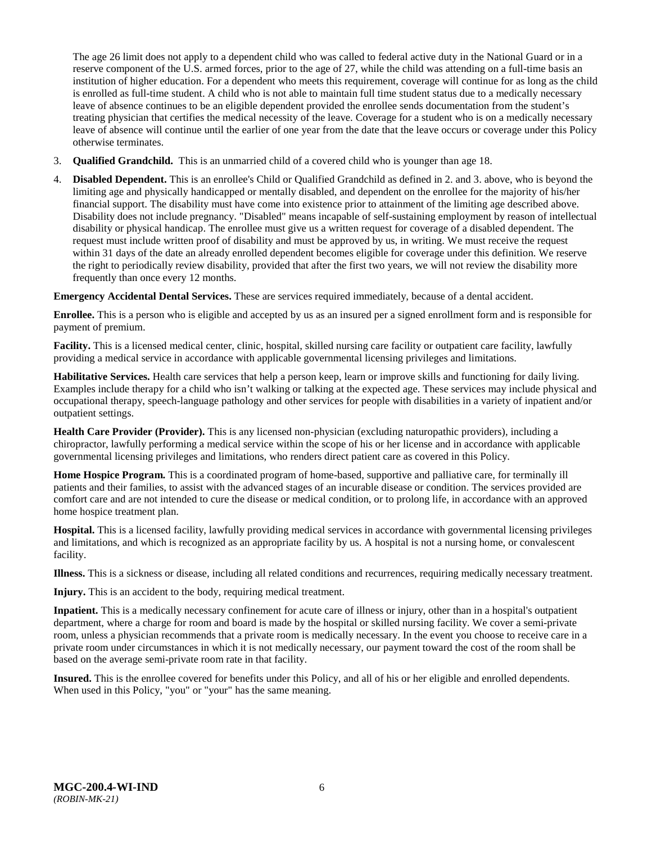The age 26 limit does not apply to a dependent child who was called to federal active duty in the National Guard or in a reserve component of the U.S. armed forces, prior to the age of 27, while the child was attending on a full-time basis an institution of higher education. For a dependent who meets this requirement, coverage will continue for as long as the child is enrolled as full-time student. A child who is not able to maintain full time student status due to a medically necessary leave of absence continues to be an eligible dependent provided the enrollee sends documentation from the student's treating physician that certifies the medical necessity of the leave. Coverage for a student who is on a medically necessary leave of absence will continue until the earlier of one year from the date that the leave occurs or coverage under this Policy otherwise terminates.

- 3. **Qualified Grandchild.** This is an unmarried child of a covered child who is younger than age 18.
- 4. **Disabled Dependent.** This is an enrollee's Child or Qualified Grandchild as defined in 2. and 3. above, who is beyond the limiting age and physically handicapped or mentally disabled, and dependent on the enrollee for the majority of his/her financial support. The disability must have come into existence prior to attainment of the limiting age described above. Disability does not include pregnancy. "Disabled" means incapable of self-sustaining employment by reason of intellectual disability or physical handicap. The enrollee must give us a written request for coverage of a disabled dependent. The request must include written proof of disability and must be approved by us, in writing. We must receive the request within 31 days of the date an already enrolled dependent becomes eligible for coverage under this definition. We reserve the right to periodically review disability, provided that after the first two years, we will not review the disability more frequently than once every 12 months.

**Emergency Accidental Dental Services.** These are services required immediately, because of a dental accident.

**Enrollee.** This is a person who is eligible and accepted by us as an insured per a signed enrollment form and is responsible for payment of premium.

**Facility.** This is a licensed medical center, clinic, hospital, skilled nursing care facility or outpatient care facility, lawfully providing a medical service in accordance with applicable governmental licensing privileges and limitations.

**Habilitative Services.** Health care services that help a person keep, learn or improve skills and functioning for daily living. Examples include therapy for a child who isn't walking or talking at the expected age. These services may include physical and occupational therapy, speech-language pathology and other services for people with disabilities in a variety of inpatient and/or outpatient settings.

**Health Care Provider (Provider).** This is any licensed non-physician (excluding naturopathic providers), including a chiropractor, lawfully performing a medical service within the scope of his or her license and in accordance with applicable governmental licensing privileges and limitations, who renders direct patient care as covered in this Policy.

**Home Hospice Program.** This is a coordinated program of home-based, supportive and palliative care, for terminally ill patients and their families, to assist with the advanced stages of an incurable disease or condition. The services provided are comfort care and are not intended to cure the disease or medical condition, or to prolong life, in accordance with an approved home hospice treatment plan.

**Hospital.** This is a licensed facility, lawfully providing medical services in accordance with governmental licensing privileges and limitations, and which is recognized as an appropriate facility by us. A hospital is not a nursing home, or convalescent facility.

**Illness.** This is a sickness or disease, including all related conditions and recurrences, requiring medically necessary treatment.

**Injury.** This is an accident to the body, requiring medical treatment.

**Inpatient.** This is a medically necessary confinement for acute care of illness or injury, other than in a hospital's outpatient department, where a charge for room and board is made by the hospital or skilled nursing facility. We cover a semi-private room, unless a physician recommends that a private room is medically necessary. In the event you choose to receive care in a private room under circumstances in which it is not medically necessary, our payment toward the cost of the room shall be based on the average semi-private room rate in that facility.

**Insured.** This is the enrollee covered for benefits under this Policy, and all of his or her eligible and enrolled dependents. When used in this Policy, "you" or "your" has the same meaning.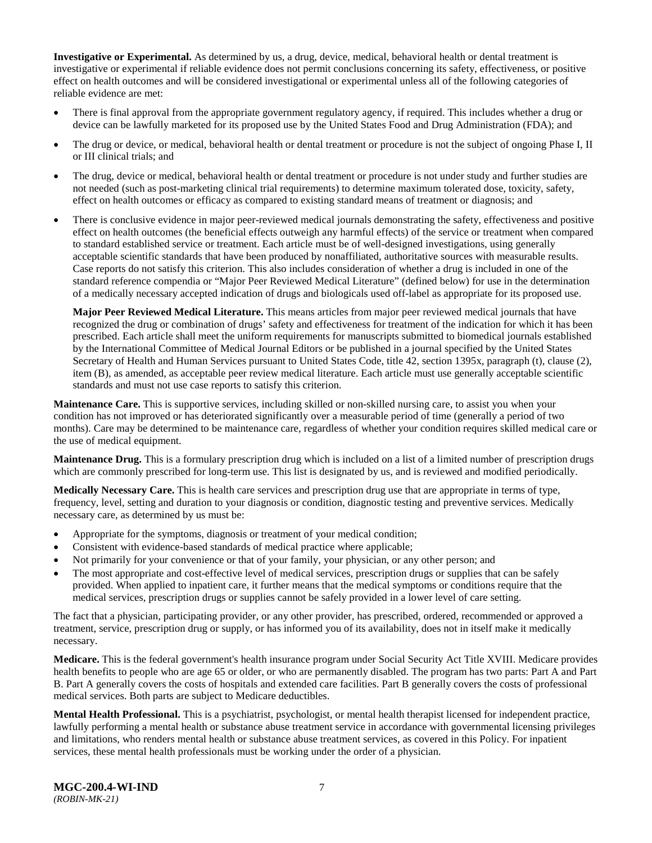**Investigative or Experimental.** As determined by us, a drug, device, medical, behavioral health or dental treatment is investigative or experimental if reliable evidence does not permit conclusions concerning its safety, effectiveness, or positive effect on health outcomes and will be considered investigational or experimental unless all of the following categories of reliable evidence are met:

- There is final approval from the appropriate government regulatory agency, if required. This includes whether a drug or device can be lawfully marketed for its proposed use by the United States Food and Drug Administration (FDA); and
- The drug or device, or medical, behavioral health or dental treatment or procedure is not the subject of ongoing Phase I, II or III clinical trials; and
- The drug, device or medical, behavioral health or dental treatment or procedure is not under study and further studies are not needed (such as post-marketing clinical trial requirements) to determine maximum tolerated dose, toxicity, safety, effect on health outcomes or efficacy as compared to existing standard means of treatment or diagnosis; and
- There is conclusive evidence in major peer-reviewed medical journals demonstrating the safety, effectiveness and positive effect on health outcomes (the beneficial effects outweigh any harmful effects) of the service or treatment when compared to standard established service or treatment. Each article must be of well-designed investigations, using generally acceptable scientific standards that have been produced by nonaffiliated, authoritative sources with measurable results. Case reports do not satisfy this criterion. This also includes consideration of whether a drug is included in one of the standard reference compendia or "Major Peer Reviewed Medical Literature" (defined below) for use in the determination of a medically necessary accepted indication of drugs and biologicals used off-label as appropriate for its proposed use.

**Major Peer Reviewed Medical Literature.** This means articles from major peer reviewed medical journals that have recognized the drug or combination of drugs' safety and effectiveness for treatment of the indication for which it has been prescribed. Each article shall meet the uniform requirements for manuscripts submitted to biomedical journals established by the International Committee of Medical Journal Editors or be published in a journal specified by the United States Secretary of Health and Human Services pursuant to United States Code, title 42, section 1395x, paragraph (t), clause (2), item (B), as amended, as acceptable peer review medical literature. Each article must use generally acceptable scientific standards and must not use case reports to satisfy this criterion.

**Maintenance Care.** This is supportive services, including skilled or non-skilled nursing care, to assist you when your condition has not improved or has deteriorated significantly over a measurable period of time (generally a period of two months). Care may be determined to be maintenance care, regardless of whether your condition requires skilled medical care or the use of medical equipment.

**Maintenance Drug.** This is a formulary prescription drug which is included on a list of a limited number of prescription drugs which are commonly prescribed for long-term use. This list is designated by us, and is reviewed and modified periodically.

**Medically Necessary Care.** This is health care services and prescription drug use that are appropriate in terms of type, frequency, level, setting and duration to your diagnosis or condition, diagnostic testing and preventive services. Medically necessary care, as determined by us must be:

- Appropriate for the symptoms, diagnosis or treatment of your medical condition;
- Consistent with evidence-based standards of medical practice where applicable;
- Not primarily for your convenience or that of your family, your physician, or any other person; and
- The most appropriate and cost-effective level of medical services, prescription drugs or supplies that can be safely provided. When applied to inpatient care, it further means that the medical symptoms or conditions require that the medical services, prescription drugs or supplies cannot be safely provided in a lower level of care setting.

The fact that a physician, participating provider, or any other provider, has prescribed, ordered, recommended or approved a treatment, service, prescription drug or supply, or has informed you of its availability, does not in itself make it medically necessary.

**Medicare.** This is the federal government's health insurance program under Social Security Act Title XVIII. Medicare provides health benefits to people who are age 65 or older, or who are permanently disabled. The program has two parts: Part A and Part B. Part A generally covers the costs of hospitals and extended care facilities. Part B generally covers the costs of professional medical services. Both parts are subject to Medicare deductibles.

**Mental Health Professional.** This is a psychiatrist, psychologist, or mental health therapist licensed for independent practice, lawfully performing a mental health or substance abuse treatment service in accordance with governmental licensing privileges and limitations, who renders mental health or substance abuse treatment services, as covered in this Policy. For inpatient services, these mental health professionals must be working under the order of a physician.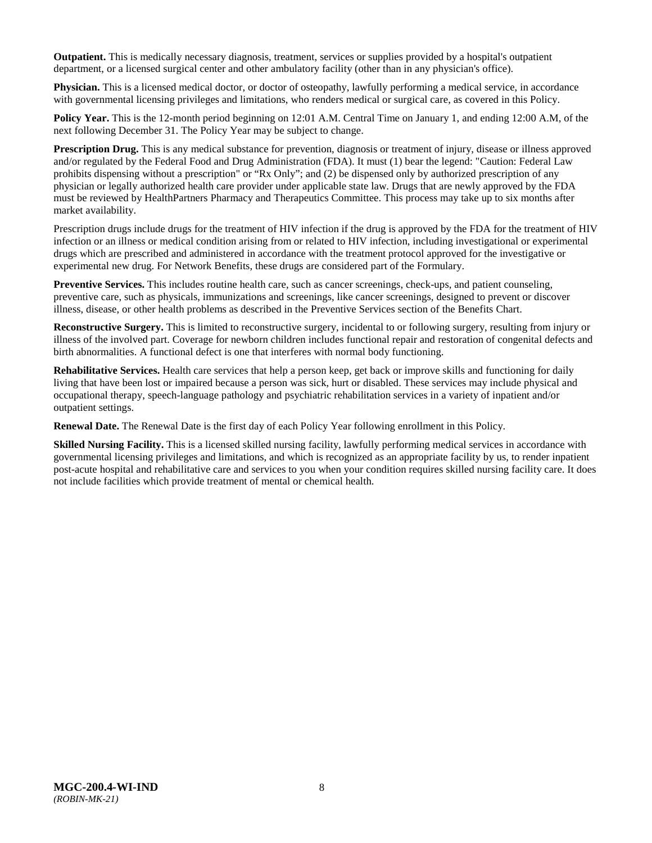**Outpatient.** This is medically necessary diagnosis, treatment, services or supplies provided by a hospital's outpatient department, or a licensed surgical center and other ambulatory facility (other than in any physician's office).

**Physician.** This is a licensed medical doctor, or doctor of osteopathy, lawfully performing a medical service, in accordance with governmental licensing privileges and limitations, who renders medical or surgical care, as covered in this Policy.

**Policy Year.** This is the 12-month period beginning on 12:01 A.M. Central Time on January 1, and ending 12:00 A.M, of the next following December 31. The Policy Year may be subject to change.

**Prescription Drug.** This is any medical substance for prevention, diagnosis or treatment of injury, disease or illness approved and/or regulated by the Federal Food and Drug Administration (FDA). It must (1) bear the legend: "Caution: Federal Law prohibits dispensing without a prescription" or "Rx Only"; and (2) be dispensed only by authorized prescription of any physician or legally authorized health care provider under applicable state law. Drugs that are newly approved by the FDA must be reviewed by HealthPartners Pharmacy and Therapeutics Committee. This process may take up to six months after market availability.

Prescription drugs include drugs for the treatment of HIV infection if the drug is approved by the FDA for the treatment of HIV infection or an illness or medical condition arising from or related to HIV infection, including investigational or experimental drugs which are prescribed and administered in accordance with the treatment protocol approved for the investigative or experimental new drug. For Network Benefits, these drugs are considered part of the Formulary.

**[Preventive Services.](http://obamacarefacts.com/obamacare-preventive-care/)** This includes routine health care, such as cancer screenings, check-ups, and patient counseling, preventive care, such as physicals, immunizations and screenings, like cancer screenings, designed to prevent or discover illness, disease, or other health problems as described in the Preventive Services section of the Benefits Chart.

**Reconstructive Surgery.** This is limited to reconstructive surgery, incidental to or following surgery, resulting from injury or illness of the involved part. Coverage for newborn children includes functional repair and restoration of congenital defects and birth abnormalities. A functional defect is one that interferes with normal body functioning.

**Rehabilitative Services.** Health care services that help a person keep, get back or improve skills and functioning for daily living that have been lost or impaired because a person was sick, hurt or disabled. These services may include physical and occupational therapy, speech-language pathology and psychiatric rehabilitation services in a variety of inpatient and/or outpatient settings.

**Renewal Date.** The Renewal Date is the first day of each Policy Year following enrollment in this Policy.

**Skilled Nursing Facility.** This is a licensed skilled nursing facility, lawfully performing medical services in accordance with governmental licensing privileges and limitations, and which is recognized as an appropriate facility by us, to render inpatient post-acute hospital and rehabilitative care and services to you when your condition requires skilled nursing facility care. It does not include facilities which provide treatment of mental or chemical health.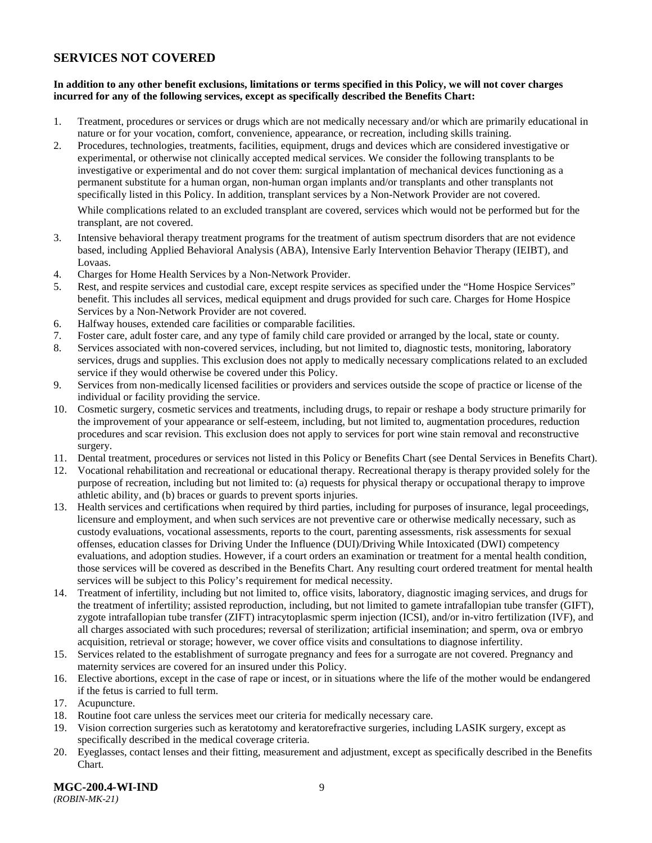### <span id="page-11-0"></span>**SERVICES NOT COVERED**

### **In addition to any other benefit exclusions, limitations or terms specified in this Policy, we will not cover charges incurred for any of the following services, except as specifically described the Benefits Chart:**

- 1. Treatment, procedures or services or drugs which are not medically necessary and/or which are primarily educational in nature or for your vocation, comfort, convenience, appearance, or recreation, including skills training.
- 2. Procedures, technologies, treatments, facilities, equipment, drugs and devices which are considered investigative or experimental, or otherwise not clinically accepted medical services. We consider the following transplants to be investigative or experimental and do not cover them: surgical implantation of mechanical devices functioning as a permanent substitute for a human organ, non-human organ implants and/or transplants and other transplants not specifically listed in this Policy. In addition, transplant services by a Non-Network Provider are not covered.

While complications related to an excluded transplant are covered, services which would not be performed but for the transplant, are not covered.

- 3. Intensive behavioral therapy treatment programs for the treatment of autism spectrum disorders that are not evidence based, including Applied Behavioral Analysis (ABA), Intensive Early Intervention Behavior Therapy (IEIBT), and Lovaas.
- 4. Charges for Home Health Services by a Non-Network Provider.
- 5. Rest, and respite services and custodial care, except respite services as specified under the "Home Hospice Services" benefit. This includes all services, medical equipment and drugs provided for such care. Charges for Home Hospice Services by a Non-Network Provider are not covered.
- 6. Halfway houses, extended care facilities or comparable facilities.
- 7. Foster care, adult foster care, and any type of family child care provided or arranged by the local, state or county.
- 8. Services associated with non-covered services, including, but not limited to, diagnostic tests, monitoring, laboratory services, drugs and supplies. This exclusion does not apply to medically necessary complications related to an excluded service if they would otherwise be covered under this Policy.
- 9. Services from non-medically licensed facilities or providers and services outside the scope of practice or license of the individual or facility providing the service.
- 10. Cosmetic surgery, cosmetic services and treatments, including drugs, to repair or reshape a body structure primarily for the improvement of your appearance or self-esteem, including, but not limited to, augmentation procedures, reduction procedures and scar revision. This exclusion does not apply to services for port wine stain removal and reconstructive surgery.
- 11. Dental treatment, procedures or services not listed in this Policy or Benefits Chart (see Dental Services in Benefits Chart).
- 12. Vocational rehabilitation and recreational or educational therapy. Recreational therapy is therapy provided solely for the purpose of recreation, including but not limited to: (a) requests for physical therapy or occupational therapy to improve athletic ability, and (b) braces or guards to prevent sports injuries.
- 13. Health services and certifications when required by third parties, including for purposes of insurance, legal proceedings, licensure and employment, and when such services are not preventive care or otherwise medically necessary, such as custody evaluations, vocational assessments, reports to the court, parenting assessments, risk assessments for sexual offenses, education classes for Driving Under the Influence (DUI)/Driving While Intoxicated (DWI) competency evaluations, and adoption studies. However, if a court orders an examination or treatment for a mental health condition, those services will be covered as described in the Benefits Chart. Any resulting court ordered treatment for mental health services will be subject to this Policy's requirement for medical necessity.
- 14. Treatment of infertility, including but not limited to, office visits, laboratory, diagnostic imaging services, and drugs for the treatment of infertility; assisted reproduction, including, but not limited to gamete intrafallopian tube transfer (GIFT), zygote intrafallopian tube transfer (ZIFT) intracytoplasmic sperm injection (ICSI), and/or in-vitro fertilization (IVF), and all charges associated with such procedures; reversal of sterilization; artificial insemination; and sperm, ova or embryo acquisition, retrieval or storage; however, we cover office visits and consultations to diagnose infertility.
- 15. Services related to the establishment of surrogate pregnancy and fees for a surrogate are not covered. Pregnancy and maternity services are covered for an insured under this Policy.
- 16. Elective abortions, except in the case of rape or incest, or in situations where the life of the mother would be endangered if the fetus is carried to full term.
- 17. Acupuncture.
- 18. Routine foot care unless the services meet our criteria for medically necessary care.
- 19. Vision correction surgeries such as keratotomy and keratorefractive surgeries, including LASIK surgery, except as specifically described in the medical coverage criteria.
- 20. Eyeglasses, contact lenses and their fitting, measurement and adjustment, except as specifically described in the Benefits Chart.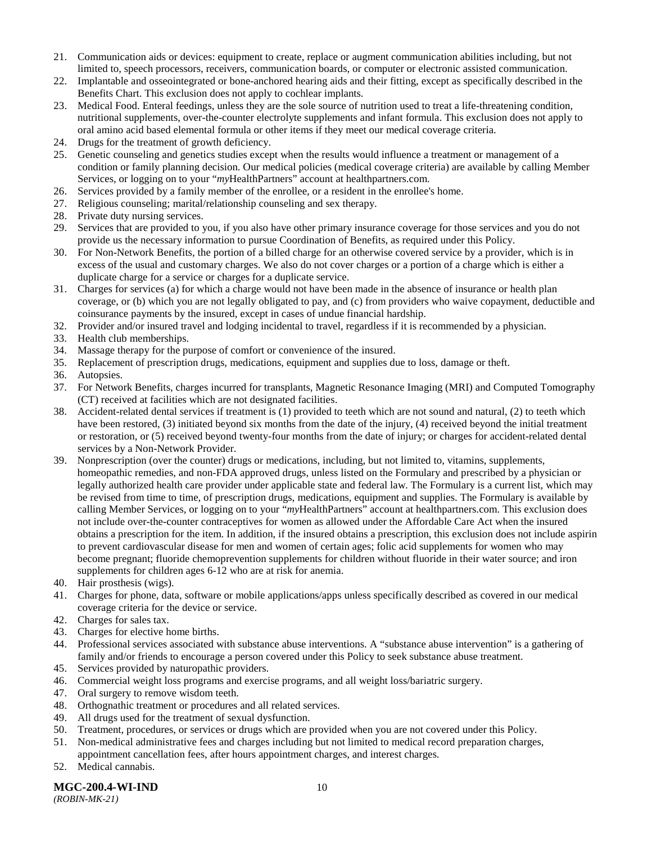- 21. Communication aids or devices: equipment to create, replace or augment communication abilities including, but not limited to, speech processors, receivers, communication boards, or computer or electronic assisted communication.
- 22. Implantable and osseointegrated or bone-anchored hearing aids and their fitting, except as specifically described in the Benefits Chart. This exclusion does not apply to cochlear implants.
- 23. Medical Food. Enteral feedings, unless they are the sole source of nutrition used to treat a life-threatening condition, nutritional supplements, over-the-counter electrolyte supplements and infant formula. This exclusion does not apply to oral amino acid based elemental formula or other items if they meet our medical coverage criteria.
- 24. Drugs for the treatment of growth deficiency.
- 25. Genetic counseling and genetics studies except when the results would influence a treatment or management of a condition or family planning decision. Our medical policies (medical coverage criteria) are available by calling Member Services, or logging on to your "*my*HealthPartners" account at [healthpartners.com.](http://www.healthpartners.com/)
- 26. Services provided by a family member of the enrollee, or a resident in the enrollee's home.
- 27. Religious counseling; marital/relationship counseling and sex therapy.
- 28. Private duty nursing services.
- 29. Services that are provided to you, if you also have other primary insurance coverage for those services and you do not provide us the necessary information to pursue Coordination of Benefits, as required under this Policy.
- 30. For Non-Network Benefits, the portion of a billed charge for an otherwise covered service by a provider, which is in excess of the usual and customary charges. We also do not cover charges or a portion of a charge which is either a duplicate charge for a service or charges for a duplicate service.
- 31. Charges for services (a) for which a charge would not have been made in the absence of insurance or health plan coverage, or (b) which you are not legally obligated to pay, and (c) from providers who waive copayment, deductible and coinsurance payments by the insured, except in cases of undue financial hardship.
- 32. Provider and/or insured travel and lodging incidental to travel, regardless if it is recommended by a physician.
- 33. Health club memberships.
- 34. Massage therapy for the purpose of comfort or convenience of the insured.
- 35. Replacement of prescription drugs, medications, equipment and supplies due to loss, damage or theft.
- 36. Autopsies.
- 37. For Network Benefits, charges incurred for transplants, Magnetic Resonance Imaging (MRI) and Computed Tomography (CT) received at facilities which are not designated facilities.
- 38. Accident-related dental services if treatment is (1) provided to teeth which are not sound and natural, (2) to teeth which have been restored, (3) initiated beyond six months from the date of the injury, (4) received beyond the initial treatment or restoration, or (5) received beyond twenty-four months from the date of injury; or charges for accident-related dental services by a Non-Network Provider.
- 39. Nonprescription (over the counter) drugs or medications, including, but not limited to, vitamins, supplements, homeopathic remedies, and non-FDA approved drugs, unless listed on the Formulary and prescribed by a physician or legally authorized health care provider under applicable state and federal law. The Formulary is a current list, which may be revised from time to time, of prescription drugs, medications, equipment and supplies. The Formulary is available by calling Member Services, or logging on to your "*my*HealthPartners" account at [healthpartners.com.](http://www.healthpartners.com/) This exclusion does not include over-the-counter contraceptives for women as allowed under the Affordable Care Act when the insured obtains a prescription for the item. In addition, if the insured obtains a prescription, this exclusion does not include aspirin to prevent cardiovascular disease for men and women of certain ages; folic acid supplements for women who may become pregnant; fluoride chemoprevention supplements for children without fluoride in their water source; and iron supplements for children ages 6-12 who are at risk for anemia.
- 40. Hair prosthesis (wigs).
- 41. Charges for phone, data, software or mobile applications/apps unless specifically described as covered in our medical coverage criteria for the device or service.
- 42. Charges for sales tax.
- 43. Charges for elective home births.
- 44. Professional services associated with substance abuse interventions. A "substance abuse intervention" is a gathering of family and/or friends to encourage a person covered under this Policy to seek substance abuse treatment.
- 45. Services provided by naturopathic providers.
- 46. Commercial weight loss programs and exercise programs, and all weight loss/bariatric surgery.
- 47. Oral surgery to remove wisdom teeth.
- 48. Orthognathic treatment or procedures and all related services.
- 49. All drugs used for the treatment of sexual dysfunction.
- 50. Treatment, procedures, or services or drugs which are provided when you are not covered under this Policy.
- 51. Non-medical administrative fees and charges including but not limited to medical record preparation charges, appointment cancellation fees, after hours appointment charges, and interest charges.
- 52. Medical cannabis.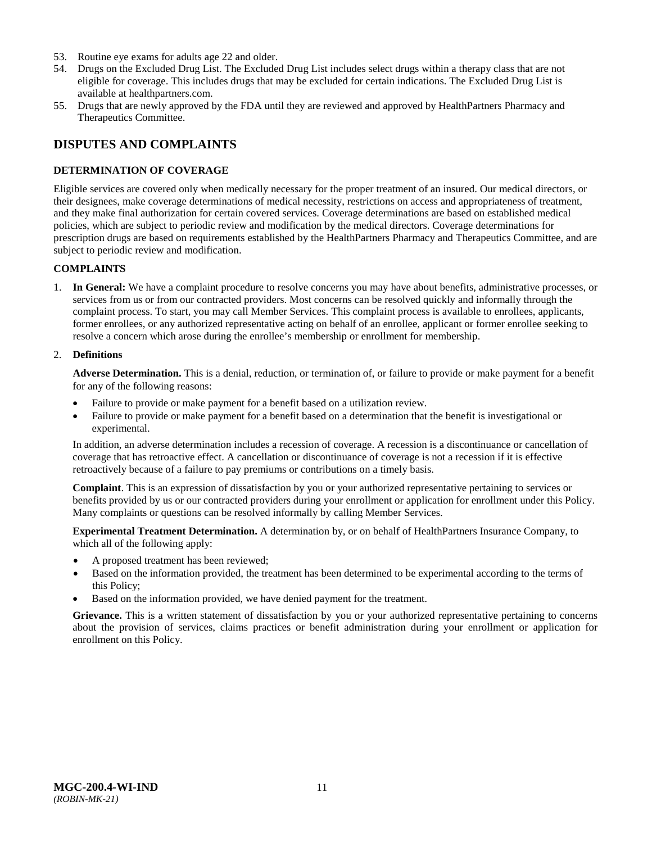- 53. Routine eye exams for adults age 22 and older.
- 54. Drugs on the Excluded Drug List. The Excluded Drug List includes select drugs within a therapy class that are not eligible for coverage. This includes drugs that may be excluded for certain indications. The Excluded Drug List is available at healthpartners.com.
- 55. Drugs that are newly approved by the FDA until they are reviewed and approved by HealthPartners Pharmacy and Therapeutics Committee.

### <span id="page-13-0"></span>**DISPUTES AND COMPLAINTS**

### <span id="page-13-1"></span>**DETERMINATION OF COVERAGE**

Eligible services are covered only when medically necessary for the proper treatment of an insured. Our medical directors, or their designees, make coverage determinations of medical necessity, restrictions on access and appropriateness of treatment, and they make final authorization for certain covered services. Coverage determinations are based on established medical policies, which are subject to periodic review and modification by the medical directors. Coverage determinations for prescription drugs are based on requirements established by the HealthPartners Pharmacy and Therapeutics Committee, and are subject to periodic review and modification.

### **COMPLAINTS**

1. **In General:** We have a complaint procedure to resolve concerns you may have about benefits, administrative processes, or services from us or from our contracted providers. Most concerns can be resolved quickly and informally through the complaint process. To start, you may call Member Services. This complaint process is available to enrollees, applicants, former enrollees, or any authorized representative acting on behalf of an enrollee, applicant or former enrollee seeking to resolve a concern which arose during the enrollee's membership or enrollment for membership.

#### 2. **Definitions**

**Adverse Determination.** This is a denial, reduction, or termination of, or failure to provide or make payment for a benefit for any of the following reasons:

- Failure to provide or make payment for a benefit based on a utilization review.
- Failure to provide or make payment for a benefit based on a determination that the benefit is investigational or experimental.

In addition, an adverse determination includes a recession of coverage. A recession is a discontinuance or cancellation of coverage that has retroactive effect. A cancellation or discontinuance of coverage is not a recession if it is effective retroactively because of a failure to pay premiums or contributions on a timely basis.

**Complaint**. This is an expression of dissatisfaction by you or your authorized representative pertaining to services or benefits provided by us or our contracted providers during your enrollment or application for enrollment under this Policy. Many complaints or questions can be resolved informally by calling Member Services.

**Experimental Treatment Determination.** A determination by, or on behalf of HealthPartners Insurance Company, to which all of the following apply:

- A proposed treatment has been reviewed;
- Based on the information provided, the treatment has been determined to be experimental according to the terms of this Policy;
- Based on the information provided, we have denied payment for the treatment.

**Grievance.** This is a written statement of dissatisfaction by you or your authorized representative pertaining to concerns about the provision of services, claims practices or benefit administration during your enrollment or application for enrollment on this Policy.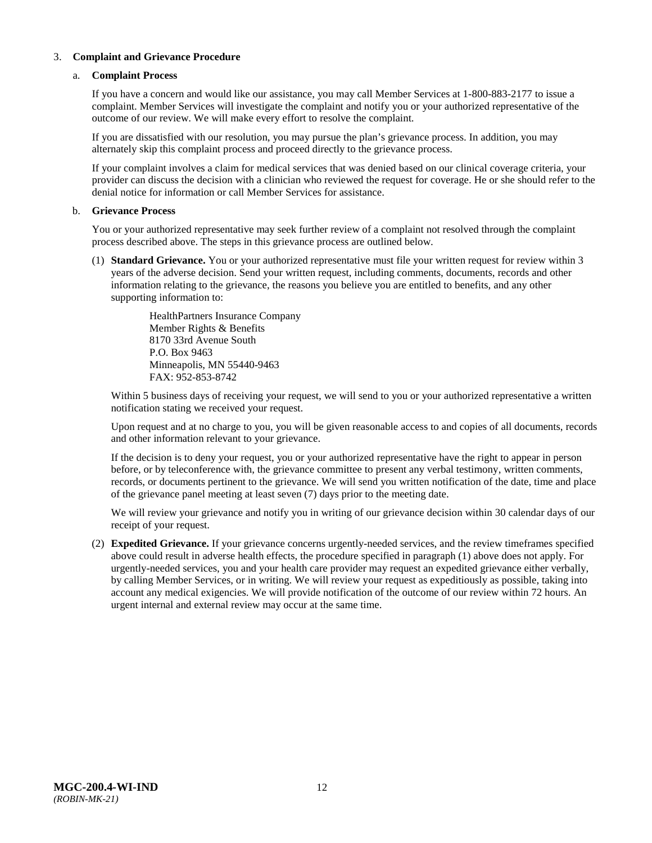### 3. **Complaint and Grievance Procedure**

### a. **Complaint Process**

If you have a concern and would like our assistance, you may call Member Services at 1-800-883-2177 to issue a complaint. Member Services will investigate the complaint and notify you or your authorized representative of the outcome of our review. We will make every effort to resolve the complaint.

If you are dissatisfied with our resolution, you may pursue the plan's grievance process. In addition, you may alternately skip this complaint process and proceed directly to the grievance process.

If your complaint involves a claim for medical services that was denied based on our clinical coverage criteria, your provider can discuss the decision with a clinician who reviewed the request for coverage. He or she should refer to the denial notice for information or call Member Services for assistance.

#### b. **Grievance Process**

You or your authorized representative may seek further review of a complaint not resolved through the complaint process described above. The steps in this grievance process are outlined below.

(1) **Standard Grievance.** You or your authorized representative must file your written request for review within 3 years of the adverse decision. Send your written request, including comments, documents, records and other information relating to the grievance, the reasons you believe you are entitled to benefits, and any other supporting information to:

> HealthPartners Insurance Company Member Rights & Benefits 8170 33rd Avenue South P.O. Box 9463 Minneapolis, MN 55440-9463 FAX: 952-853-8742

Within 5 business days of receiving your request, we will send to you or your authorized representative a written notification stating we received your request.

Upon request and at no charge to you, you will be given reasonable access to and copies of all documents, records and other information relevant to your grievance.

If the decision is to deny your request, you or your authorized representative have the right to appear in person before, or by teleconference with, the grievance committee to present any verbal testimony, written comments, records, or documents pertinent to the grievance. We will send you written notification of the date, time and place of the grievance panel meeting at least seven (7) days prior to the meeting date.

We will review your grievance and notify you in writing of our grievance decision within 30 calendar days of our receipt of your request.

(2) **Expedited Grievance.** If your grievance concerns urgently-needed services, and the review timeframes specified above could result in adverse health effects, the procedure specified in paragraph (1) above does not apply. For urgently-needed services, you and your health care provider may request an expedited grievance either verbally, by calling Member Services, or in writing. We will review your request as expeditiously as possible, taking into account any medical exigencies. We will provide notification of the outcome of our review within 72 hours. An urgent internal and external review may occur at the same time.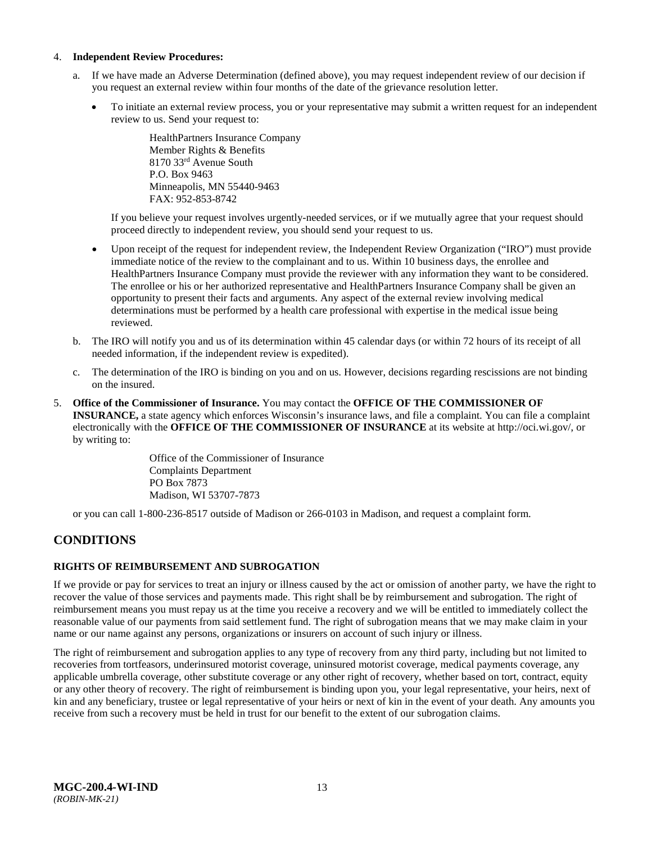### 4. **Independent Review Procedures:**

- a. If we have made an Adverse Determination (defined above), you may request independent review of our decision if you request an external review within four months of the date of the grievance resolution letter.
	- To initiate an external review process, you or your representative may submit a written request for an independent review to us. Send your request to:

HealthPartners Insurance Company Member Rights & Benefits 8170 33rd Avenue South P.O. Box 9463 Minneapolis, MN 55440-9463 FAX: 952-853-8742

If you believe your request involves urgently-needed services, or if we mutually agree that your request should proceed directly to independent review, you should send your request to us.

- Upon receipt of the request for independent review, the Independent Review Organization ("IRO") must provide immediate notice of the review to the complainant and to us. Within 10 business days, the enrollee and HealthPartners Insurance Company must provide the reviewer with any information they want to be considered. The enrollee or his or her authorized representative and HealthPartners Insurance Company shall be given an opportunity to present their facts and arguments. Any aspect of the external review involving medical determinations must be performed by a health care professional with expertise in the medical issue being reviewed.
- b. The IRO will notify you and us of its determination within 45 calendar days (or within 72 hours of its receipt of all needed information, if the independent review is expedited).
- c. The determination of the IRO is binding on you and on us. However, decisions regarding rescissions are not binding on the insured.
- 5. **Office of the Commissioner of Insurance.** You may contact the **OFFICE OF THE COMMISSIONER OF INSURANCE,** a state agency which enforces Wisconsin's insurance laws, and file a complaint. You can file a complaint electronically with the **OFFICE OF THE COMMISSIONER OF INSURANCE** at its website at http://oci.wi.gov/, or by writing to:

Office of the Commissioner of Insurance Complaints Department PO Box 7873 Madison, WI 53707-7873

or you can call 1-800-236-8517 outside of Madison or 266-0103 in Madison, and request a complaint form.

# <span id="page-15-0"></span>**CONDITIONS**

### <span id="page-15-1"></span>**RIGHTS OF REIMBURSEMENT AND SUBROGATION**

If we provide or pay for services to treat an injury or illness caused by the act or omission of another party, we have the right to recover the value of those services and payments made. This right shall be by reimbursement and subrogation. The right of reimbursement means you must repay us at the time you receive a recovery and we will be entitled to immediately collect the reasonable value of our payments from said settlement fund. The right of subrogation means that we may make claim in your name or our name against any persons, organizations or insurers on account of such injury or illness.

The right of reimbursement and subrogation applies to any type of recovery from any third party, including but not limited to recoveries from tortfeasors, underinsured motorist coverage, uninsured motorist coverage, medical payments coverage, any applicable umbrella coverage, other substitute coverage or any other right of recovery, whether based on tort, contract, equity or any other theory of recovery. The right of reimbursement is binding upon you, your legal representative, your heirs, next of kin and any beneficiary, trustee or legal representative of your heirs or next of kin in the event of your death. Any amounts you receive from such a recovery must be held in trust for our benefit to the extent of our subrogation claims.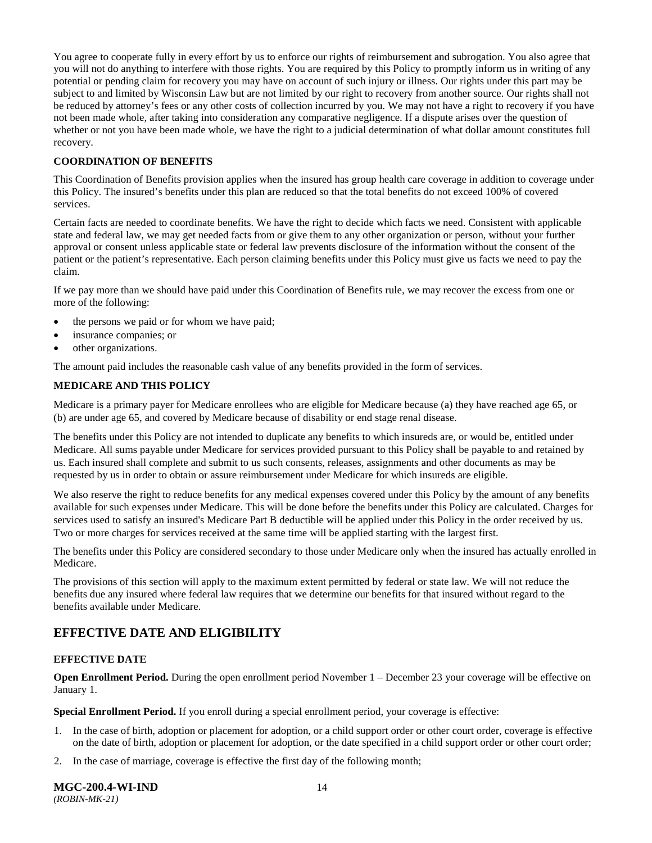You agree to cooperate fully in every effort by us to enforce our rights of reimbursement and subrogation. You also agree that you will not do anything to interfere with those rights. You are required by this Policy to promptly inform us in writing of any potential or pending claim for recovery you may have on account of such injury or illness. Our rights under this part may be subject to and limited by Wisconsin Law but are not limited by our right to recovery from another source. Our rights shall not be reduced by attorney's fees or any other costs of collection incurred by you. We may not have a right to recovery if you have not been made whole, after taking into consideration any comparative negligence. If a dispute arises over the question of whether or not you have been made whole, we have the right to a judicial determination of what dollar amount constitutes full recovery.

### **COORDINATION OF BENEFITS**

This Coordination of Benefits provision applies when the insured has group health care coverage in addition to coverage under this Policy. The insured's benefits under this plan are reduced so that the total benefits do not exceed 100% of covered services.

Certain facts are needed to coordinate benefits. We have the right to decide which facts we need. Consistent with applicable state and federal law, we may get needed facts from or give them to any other organization or person, without your further approval or consent unless applicable state or federal law prevents disclosure of the information without the consent of the patient or the patient's representative. Each person claiming benefits under this Policy must give us facts we need to pay the claim.

If we pay more than we should have paid under this Coordination of Benefits rule, we may recover the excess from one or more of the following:

- the persons we paid or for whom we have paid;
- insurance companies; or
- other organizations.

The amount paid includes the reasonable cash value of any benefits provided in the form of services.

### **MEDICARE AND THIS POLICY**

Medicare is a primary payer for Medicare enrollees who are eligible for Medicare because (a) they have reached age 65, or (b) are under age 65, and covered by Medicare because of disability or end stage renal disease.

The benefits under this Policy are not intended to duplicate any benefits to which insureds are, or would be, entitled under Medicare. All sums payable under Medicare for services provided pursuant to this Policy shall be payable to and retained by us. Each insured shall complete and submit to us such consents, releases, assignments and other documents as may be requested by us in order to obtain or assure reimbursement under Medicare for which insureds are eligible.

We also reserve the right to reduce benefits for any medical expenses covered under this Policy by the amount of any benefits available for such expenses under Medicare. This will be done before the benefits under this Policy are calculated. Charges for services used to satisfy an insured's Medicare Part B deductible will be applied under this Policy in the order received by us. Two or more charges for services received at the same time will be applied starting with the largest first.

The benefits under this Policy are considered secondary to those under Medicare only when the insured has actually enrolled in Medicare.

The provisions of this section will apply to the maximum extent permitted by federal or state law. We will not reduce the benefits due any insured where federal law requires that we determine our benefits for that insured without regard to the benefits available under Medicare.

# <span id="page-16-0"></span>**EFFECTIVE DATE AND ELIGIBILITY**

### <span id="page-16-1"></span>**EFFECTIVE DATE**

**Open Enrollment Period.** During the open enrollment period November 1 – December 23 your coverage will be effective on January 1.

**Special Enrollment Period.** If you enroll during a special enrollment period, your coverage is effective:

- 1. In the case of birth, adoption or placement for adoption, or a child support order or other court order, coverage is effective on the date of birth, adoption or placement for adoption, or the date specified in a child support order or other court order;
- 2. In the case of marriage, coverage is effective the first day of the following month;

**MGC-200.4-WI-IND** 14 *(ROBIN-MK-21)*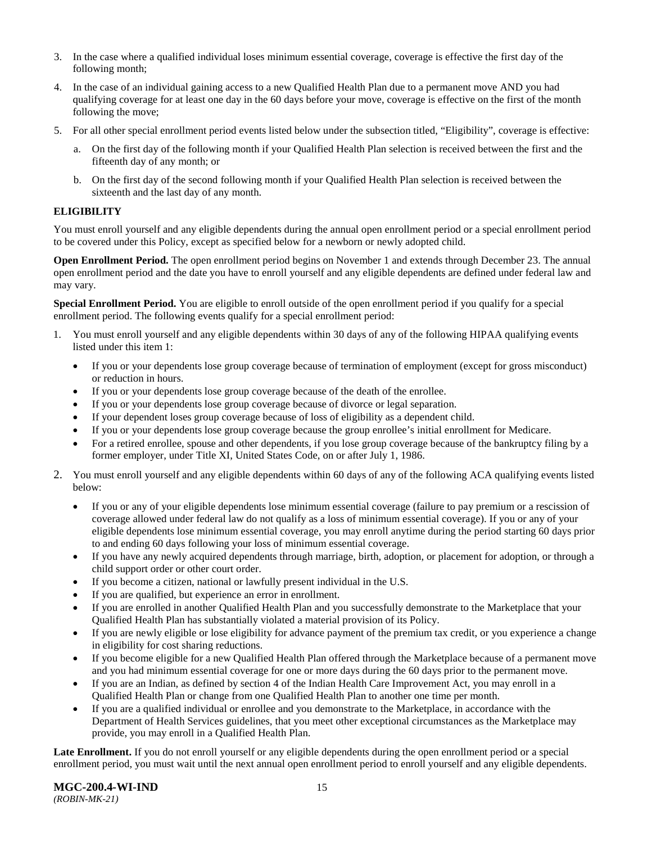- 3. In the case where a qualified individual loses minimum essential coverage, coverage is effective the first day of the following month;
- 4. In the case of an individual gaining access to a new Qualified Health Plan due to a permanent move AND you had qualifying coverage for at least one day in the 60 days before your move, coverage is effective on the first of the month following the move;
- 5. For all other special enrollment period events listed below under the subsection titled, "Eligibility", coverage is effective:
	- a. On the first day of the following month if your Qualified Health Plan selection is received between the first and the fifteenth day of any month; or
	- b. On the first day of the second following month if your Qualified Health Plan selection is received between the sixteenth and the last day of any month.

### <span id="page-17-0"></span>**ELIGIBILITY**

You must enroll yourself and any eligible dependents during the annual open enrollment period or a special enrollment period to be covered under this Policy, except as specified below for a newborn or newly adopted child.

**Open Enrollment Period.** The open enrollment period begins on November 1 and extends through December 23. The annual open enrollment period and the date you have to enroll yourself and any eligible dependents are defined under federal law and may vary.

**Special Enrollment Period.** You are eligible to enroll outside of the open enrollment period if you qualify for a special enrollment period. The following events qualify for a special enrollment period:

- 1. You must enroll yourself and any eligible dependents within 30 days of any of the following HIPAA qualifying events listed under this item 1:
	- If you or your dependents lose group coverage because of termination of employment (except for gross misconduct) or reduction in hours.
	- If you or your dependents lose group coverage because of the death of the enrollee.
	- If you or your dependents lose group coverage because of divorce or legal separation.
	- If your dependent loses group coverage because of loss of eligibility as a dependent child.
	- If you or your dependents lose group coverage because the group enrollee's initial enrollment for Medicare.
	- For a retired enrollee, spouse and other dependents, if you lose group coverage because of the bankruptcy filing by a former employer, under Title XI, United States Code, on or after July 1, 1986.
- 2. You must enroll yourself and any eligible dependents within 60 days of any of the following ACA qualifying events listed below:
	- If you or any of your eligible dependents lose minimum essential coverage (failure to pay premium or a rescission of coverage allowed under federal law do not qualify as a loss of minimum essential coverage). If you or any of your eligible dependents lose minimum essential coverage, you may enroll anytime during the period starting 60 days prior to and ending 60 days following your loss of minimum essential coverage.
	- If you have any newly acquired dependents through marriage, birth, adoption, or placement for adoption, or through a child support order or other court order.
	- If you become a citizen, national or lawfully present individual in the U.S.
	- If you are qualified, but experience an error in enrollment.
	- If you are enrolled in another Qualified Health Plan and you successfully demonstrate to the Marketplace that your Qualified Health Plan has substantially violated a material provision of its Policy.
	- If you are newly eligible or lose eligibility for advance payment of the premium tax credit, or you experience a change in eligibility for cost sharing reductions.
	- If you become eligible for a new Qualified Health Plan offered through the Marketplace because of a permanent move and you had minimum essential coverage for one or more days during the 60 days prior to the permanent move.
	- If you are an Indian, as defined by section 4 of the Indian Health Care Improvement Act, you may enroll in a Qualified Health Plan or change from one Qualified Health Plan to another one time per month.
	- If you are a qualified individual or enrollee and you demonstrate to the Marketplace, in accordance with the Department of Health Services guidelines, that you meet other exceptional circumstances as the Marketplace may provide, you may enroll in a Qualified Health Plan.

**Late Enrollment.** If you do not enroll yourself or any eligible dependents during the open enrollment period or a special enrollment period, you must wait until the next annual open enrollment period to enroll yourself and any eligible dependents.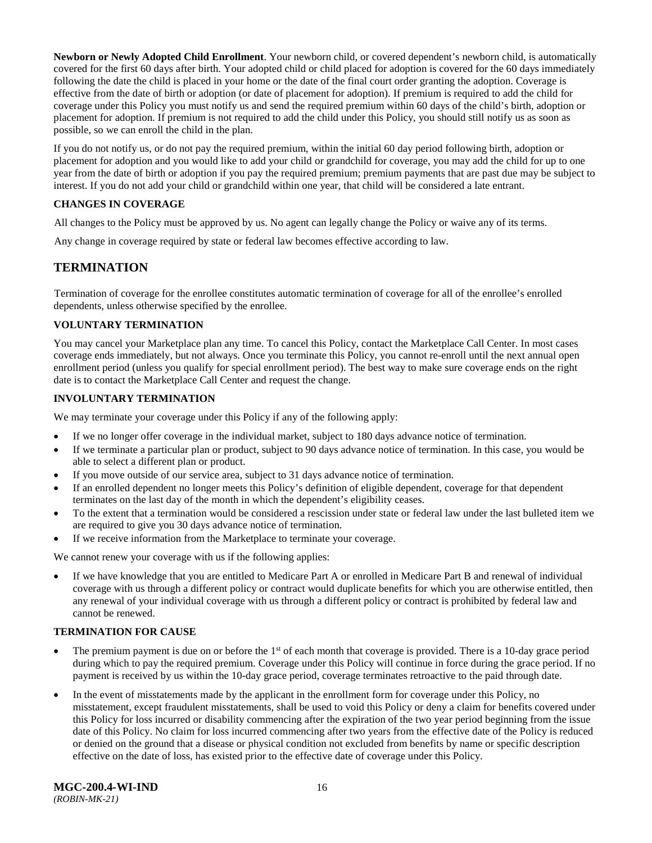**Newborn or Newly Adopted Child Enrollment**. Your newborn child, or covered dependent's newborn child, is automatically covered for the first 60 days after birth. Your adopted child or child placed for adoption is covered for the 60 days immediately following the date the child is placed in your home or the date of the final court order granting the adoption. Coverage is effective from the date of birth or adoption (or date of placement for adoption). If premium is required to add the child for coverage under this Policy you must notify us and send the required premium within 60 days of the child's birth, adoption or placement for adoption. If premium is not required to add the child under this Policy, you should still notify us as soon as possible, so we can enroll the child in the plan.

If you do not notify us, or do not pay the required premium, within the initial 60 day period following birth, adoption or placement for adoption and you would like to add your child or grandchild for coverage, you may add the child for up to one year from the date of birth or adoption if you pay the required premium; premium payments that are past due may be subject to interest. If you do not add your child or grandchild within one year, that child will be considered a late entrant.

### <span id="page-18-0"></span>**CHANGES IN COVERAGE**

All changes to the Policy must be approved by us. No agent can legally change the Policy or waive any of its terms.

<span id="page-18-1"></span>Any change in coverage required by state or federal law becomes effective according to law.

### **TERMINATION**

Termination of coverage for the enrollee constitutes automatic termination of coverage for all of the enrollee's enrolled dependents, unless otherwise specified by the enrollee.

### <span id="page-18-2"></span>**VOLUNTARY TERMINATION**

You may cancel your Marketplace plan any time. To cancel this Policy, contact the Marketplace Call Center. In most cases coverage ends immediately, but not always. Once you terminate this Policy, you cannot re-enroll until the next annual open enrollment period (unless you qualify for special enrollment period). The best way to make sure coverage ends on the right date is to contact the Marketplace Call Center and request the change.

### <span id="page-18-3"></span>**INVOLUNTARY TERMINATION**

We may terminate your coverage under this Policy if any of the following apply:

- If we no longer offer coverage in the individual market, subject to 180 days advance notice of termination.
- If we terminate a particular plan or product, subject to 90 days advance notice of termination. In this case, you would be able to select a different plan or product.
- If you move outside of our service area, subject to 31 days advance notice of termination.
- If an enrolled dependent no longer meets this Policy's definition of eligible dependent, coverage for that dependent terminates on the last day of the month in which the dependent's eligibility ceases.
- To the extent that a termination would be considered a rescission under state or federal law under the last bulleted item we are required to give you 30 days advance notice of termination.
- If we receive information from the Marketplace to terminate your coverage.

We cannot renew your coverage with us if the following applies:

If we have knowledge that you are entitled to Medicare Part A or enrolled in Medicare Part B and renewal of individual coverage with us through a different policy or contract would duplicate benefits for which you are otherwise entitled, then any renewal of your individual coverage with us through a different policy or contract is prohibited by federal law and cannot be renewed.

### <span id="page-18-4"></span>**TERMINATION FOR CAUSE**

- The premium payment is due on or before the  $1<sup>st</sup>$  of each month that coverage is provided. There is a 10-day grace period during which to pay the required premium. Coverage under this Policy will continue in force during the grace period. If no payment is received by us within the 10-day grace period, coverage terminates retroactive to the paid through date.
- In the event of misstatements made by the applicant in the enrollment form for coverage under this Policy, no misstatement, except fraudulent misstatements, shall be used to void this Policy or deny a claim for benefits covered under this Policy for loss incurred or disability commencing after the expiration of the two year period beginning from the issue date of this Policy. No claim for loss incurred commencing after two years from the effective date of the Policy is reduced or denied on the ground that a disease or physical condition not excluded from benefits by name or specific description effective on the date of loss, has existed prior to the effective date of coverage under this Policy.